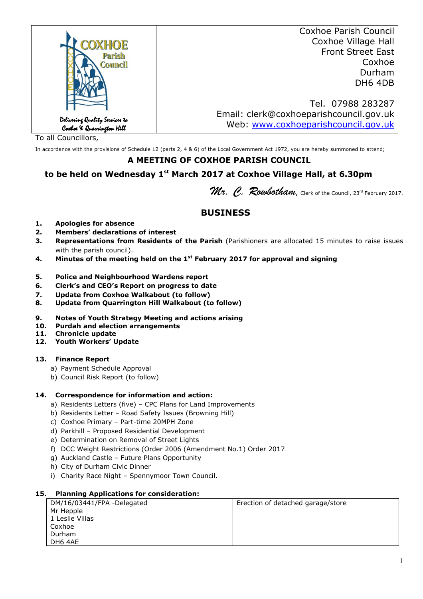|                                                             | <b>Coxhoe Parish Council</b>            |
|-------------------------------------------------------------|-----------------------------------------|
| OXHOE                                                       | Coxhoe Village Hall                     |
| Parish                                                      | <b>Front Street East</b>                |
| <b>Council</b>                                              | Coxhoe                                  |
|                                                             | Durham                                  |
|                                                             | DH6 4DB                                 |
|                                                             |                                         |
|                                                             | Tel. 07988 283287                       |
|                                                             | Email: clerk@coxhoeparishcouncil.gov.uk |
| Delivering Quality Services to<br>Coxboe X Quarrington Hill | Web: www.coxhoeparishcouncil.gov.uk     |

To all Councillors,

In accordance with the provisions of Schedule 12 (parts 2, 4 & 6) of the Local Government Act 1972, you are hereby summoned to attend;

#### **A MEETING OF COXHOE PARISH COUNCIL**

## **to be held on Wednesday 1st March 2017 at Coxhoe Village Hall, at 6.30pm**

Mr. C. Rowbotham, Clerk of the Council, 23rd February 2017.

# **BUSINESS**

- **1. Apologies for absence**
- **2. Members' declarations of interest**
- **3. Representations from Residents of the Parish** (Parishioners are allocated 15 minutes to raise issues with the parish council).
- **4. Minutes of the meeting held on the 1st February 2017 for approval and signing**
- **5. Police and Neighbourhood Wardens report**
- **6. Clerk's and CEO's Report on progress to date**
- **7. Update from Coxhoe Walkabout (to follow)**
- **8. Update from Quarrington Hill Walkabout (to follow)**
- **9. Notes of Youth Strategy Meeting and actions arising**
- **10. Purdah and election arrangements**
- **11. Chronicle update**
- **12. Youth Workers' Update**

#### **13. Finance Report**

- a) Payment Schedule Approval
- b) Council Risk Report (to follow)

#### **14. Correspondence for information and action:**

- a) Residents Letters (five) CPC Plans for Land Improvements
- b) Residents Letter Road Safety Issues (Browning Hill)
- c) Coxhoe Primary Part-time 20MPH Zone
- d) Parkhill Proposed Residential Development
- e) Determination on Removal of Street Lights
- f) DCC Weight Restrictions (Order 2006 (Amendment No.1) Order 2017
- g) Auckland Castle Future Plans Opportunity
- h) City of Durham Civic Dinner
- i) Charity Race Night Spennymoor Town Council.

#### **15. Planning Applications for consideration:**

| DM/16/03441/FPA -Delegated | Erection of detached garage/store |
|----------------------------|-----------------------------------|
| Mr Hepple                  |                                   |
| 1 Leslie Villas            |                                   |
| Coxhoe                     |                                   |
| Durham                     |                                   |
| DH6 4AE                    |                                   |